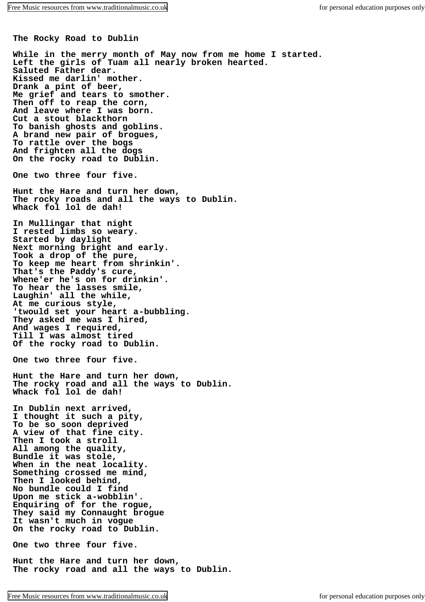**The Rocky Road to Dublin**

**While in the merry month of May now from me home I started. Left the girls of Tuam all nearly broken hearted. Saluted Father dear. Kissed me darlin' mother. Drank a pint of beer, Me grief and tears to smother. Then off to reap the corn, And leave where I was born. Cut a stout blackthorn To banish ghosts and goblins. A brand new pair of brogues, To rattle over the bogs And frighten all the dogs On the rocky road to Dublin. One two three four five. Hunt the Hare and turn her down, The rocky roads and all the ways to Dublin. Whack fol lol de dah! In Mullingar that night I rested limbs so weary. Started by daylight Next morning bright and early. Took a drop of the pure, To keep me heart from shrinkin'. That's the Paddy's cure, Whene'er he's on for drinkin'. To hear the lasses smile, Laughin' all the while, At me curious style, 'twould set your heart a-bubbling. They asked me was I hired, And wages I required, Till I was almost tired Of the rocky road to Dublin. One two three four five. Hunt the Hare and turn her down, The rocky road and all the ways to Dublin. Whack fol lol de dah! In Dublin next arrived, I thought it such a pity, To be so soon deprived A view of that fine city. Then I took a stroll All among the quality, Bundle it was stole, When in the neat locality. Something crossed me mind, Then I looked behind, No bundle could I find Upon me stick a-wobblin'. Enquiring of for the rogue, They said my Connaught brogue It wasn't much in vogue On the rocky road to Dublin. One two three four five. Hunt the Hare and turn her down,**

**The rocky road and all the ways to Dublin.**